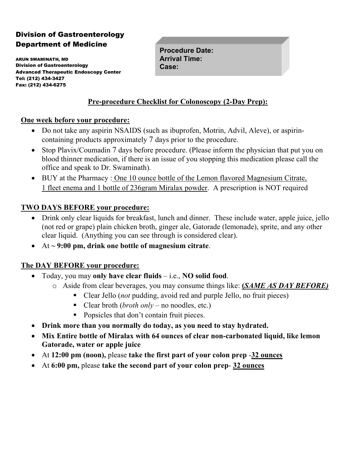# Division of Gastroenterology Department of Medicine

ARUN SWAMINATH, MD Division of Gastroenterology Advanced Therapeutic Endoscopy Center Tel: (212) 434-3427 Fax: (212) 434-6275

**Procedure Date: Arrival Time: Case:** 

### **Pre-procedure Checklist for Colonoscopy (2-Day Prep):**

#### **One week before your procedure:**

- Do not take any aspirin NSAIDS (such as ibuprofen, Motrin, Advil, Aleve), or aspirincontaining products approximately 7 days prior to the procedure.
- Stop Plavix/Coumadin 7 days before procedure. (Please inform the physician that put you on blood thinner medication, if there is an issue of you stopping this medication please call the office and speak to Dr. Swaminath).
- BUY at the Pharmacy : One 10 ounce bottle of the Lemon flavored Magnesium Citrate, 1 fleet enema and 1 bottle of 236gram Miralax powder. A prescription is NOT required

### **TWO DAYS BEFORE your procedure:**

- Drink only clear liquids for breakfast, lunch and dinner. These include water, apple juice, jello (not red or grape) plain chicken broth, ginger ale, Gatorade (lemonade), sprite, and any other clear liquid. (Anything you can see through is considered clear).
- At **~ 9:00 pm, drink one bottle of magnesium citrate**.

#### **The DAY BEFORE your procedure:**

- Today, you may **only have clear fluids** i.e., **NO solid food**.
	- o Aside from clear beverages, you may consume things like: **(***SAME AS DAY BEFORE)*
		- Clear Jello (*not* pudding, avoid red and purple Jello, no fruit pieces)
		- Clear broth (*broth only* no noodles, etc.)
		- Popsicles that don't contain fruit pieces.
- **Drink more than you normally do today, as you need to stay hydrated.**
- **Mix Entire bottle of Miralax with 64 ounces of clear non-carbonated liquid, like lemon Gatorade, water or apple juice**
- At **12:00 pm (noon),** please **take the first part of your colon prep** -**32 ounces**
- At **6:00 pm,** please **take the second part of your colon prep 32 ounces**